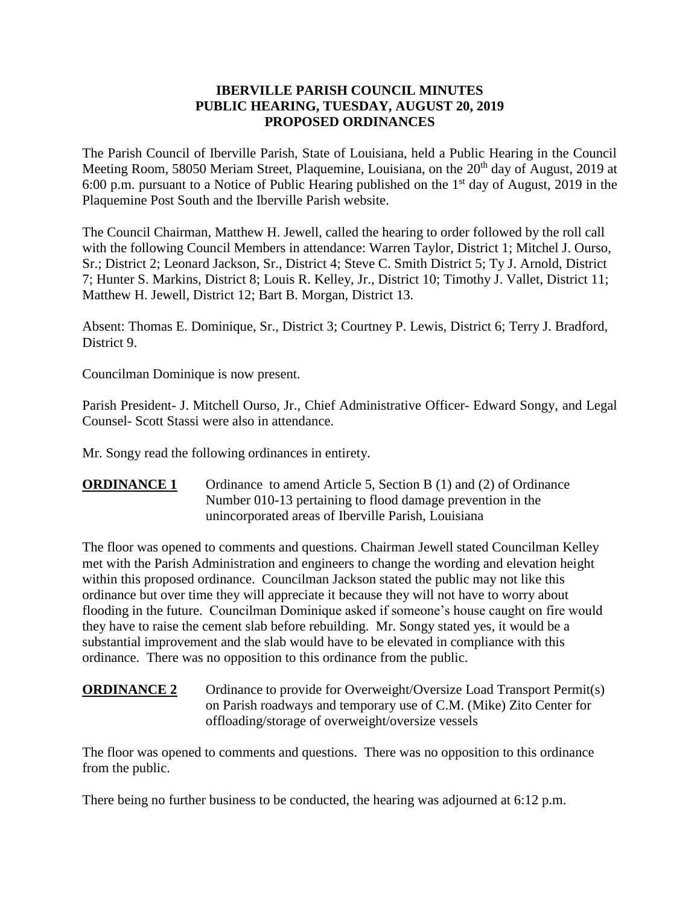## **IBERVILLE PARISH COUNCIL MINUTES PUBLIC HEARING, TUESDAY, AUGUST 20, 2019 PROPOSED ORDINANCES**

The Parish Council of Iberville Parish, State of Louisiana, held a Public Hearing in the Council Meeting Room, 58050 Meriam Street, Plaquemine, Louisiana, on the 20<sup>th</sup> day of August, 2019 at 6:00 p.m. pursuant to a Notice of Public Hearing published on the  $1<sup>st</sup>$  day of August, 2019 in the Plaquemine Post South and the Iberville Parish website.

The Council Chairman, Matthew H. Jewell, called the hearing to order followed by the roll call with the following Council Members in attendance: Warren Taylor, District 1; Mitchel J. Ourso, Sr.; District 2; Leonard Jackson, Sr., District 4; Steve C. Smith District 5; Ty J. Arnold, District 7; Hunter S. Markins, District 8; Louis R. Kelley, Jr., District 10; Timothy J. Vallet, District 11; Matthew H. Jewell, District 12; Bart B. Morgan, District 13.

Absent: Thomas E. Dominique, Sr., District 3; Courtney P. Lewis, District 6; Terry J. Bradford, District 9.

Councilman Dominique is now present.

Parish President- J. Mitchell Ourso, Jr., Chief Administrative Officer- Edward Songy, and Legal Counsel- Scott Stassi were also in attendance.

Mr. Songy read the following ordinances in entirety.

**ORDINANCE 1** Ordinance to amend Article 5, Section B (1) and (2) of Ordinance Number 010-13 pertaining to flood damage prevention in the unincorporated areas of Iberville Parish, Louisiana

The floor was opened to comments and questions. Chairman Jewell stated Councilman Kelley met with the Parish Administration and engineers to change the wording and elevation height within this proposed ordinance. Councilman Jackson stated the public may not like this ordinance but over time they will appreciate it because they will not have to worry about flooding in the future. Councilman Dominique asked if someone's house caught on fire would they have to raise the cement slab before rebuilding. Mr. Songy stated yes, it would be a substantial improvement and the slab would have to be elevated in compliance with this ordinance. There was no opposition to this ordinance from the public.

# **ORDINANCE 2** Ordinance to provide for Overweight/Oversize Load Transport Permit(s) on Parish roadways and temporary use of C.M. (Mike) Zito Center for offloading/storage of overweight/oversize vessels

The floor was opened to comments and questions. There was no opposition to this ordinance from the public.

There being no further business to be conducted, the hearing was adjourned at 6:12 p.m.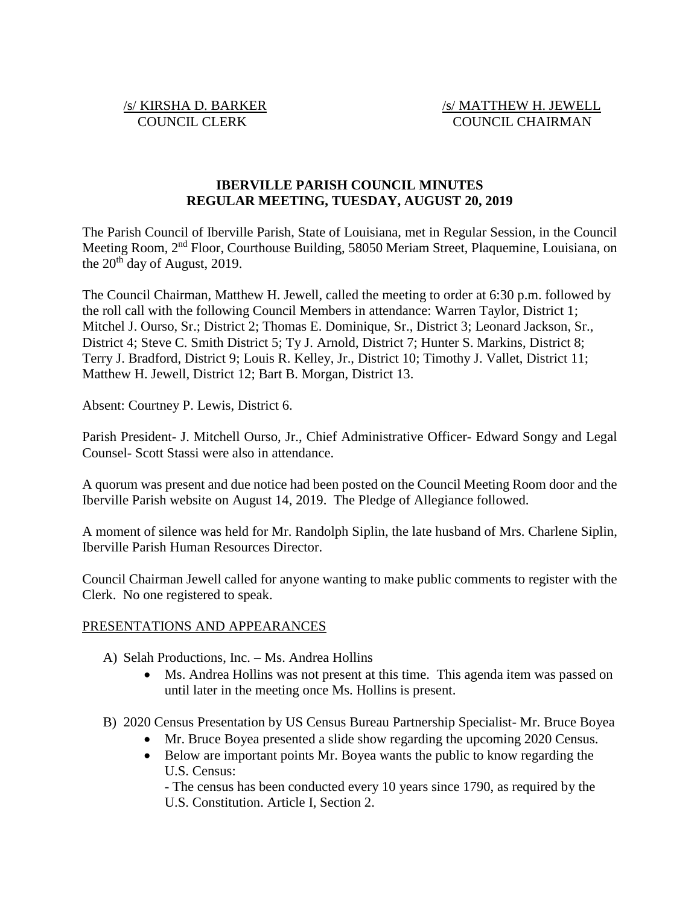# **IBERVILLE PARISH COUNCIL MINUTES REGULAR MEETING, TUESDAY, AUGUST 20, 2019**

The Parish Council of Iberville Parish, State of Louisiana, met in Regular Session, in the Council Meeting Room, 2nd Floor, Courthouse Building, 58050 Meriam Street, Plaquemine, Louisiana, on the  $20<sup>th</sup>$  day of August, 2019.

The Council Chairman, Matthew H. Jewell, called the meeting to order at 6:30 p.m. followed by the roll call with the following Council Members in attendance: Warren Taylor, District 1; Mitchel J. Ourso, Sr.; District 2; Thomas E. Dominique, Sr., District 3; Leonard Jackson, Sr., District 4; Steve C. Smith District 5; Ty J. Arnold, District 7; Hunter S. Markins, District 8; Terry J. Bradford, District 9; Louis R. Kelley, Jr., District 10; Timothy J. Vallet, District 11; Matthew H. Jewell, District 12; Bart B. Morgan, District 13.

Absent: Courtney P. Lewis, District 6.

Parish President- J. Mitchell Ourso, Jr., Chief Administrative Officer- Edward Songy and Legal Counsel- Scott Stassi were also in attendance.

A quorum was present and due notice had been posted on the Council Meeting Room door and the Iberville Parish website on August 14, 2019. The Pledge of Allegiance followed.

A moment of silence was held for Mr. Randolph Siplin, the late husband of Mrs. Charlene Siplin, Iberville Parish Human Resources Director.

Council Chairman Jewell called for anyone wanting to make public comments to register with the Clerk. No one registered to speak.

# PRESENTATIONS AND APPEARANCES

- A) Selah Productions, Inc. Ms. Andrea Hollins
	- Ms. Andrea Hollins was not present at this time. This agenda item was passed on until later in the meeting once Ms. Hollins is present.
- B) 2020 Census Presentation by US Census Bureau Partnership Specialist- Mr. Bruce Boyea
	- Mr. Bruce Boyea presented a slide show regarding the upcoming 2020 Census.
	- Below are important points Mr. Boyea wants the public to know regarding the U.S. Census:

- The census has been conducted every 10 years since 1790, as required by the U.S. Constitution. Article I, Section 2.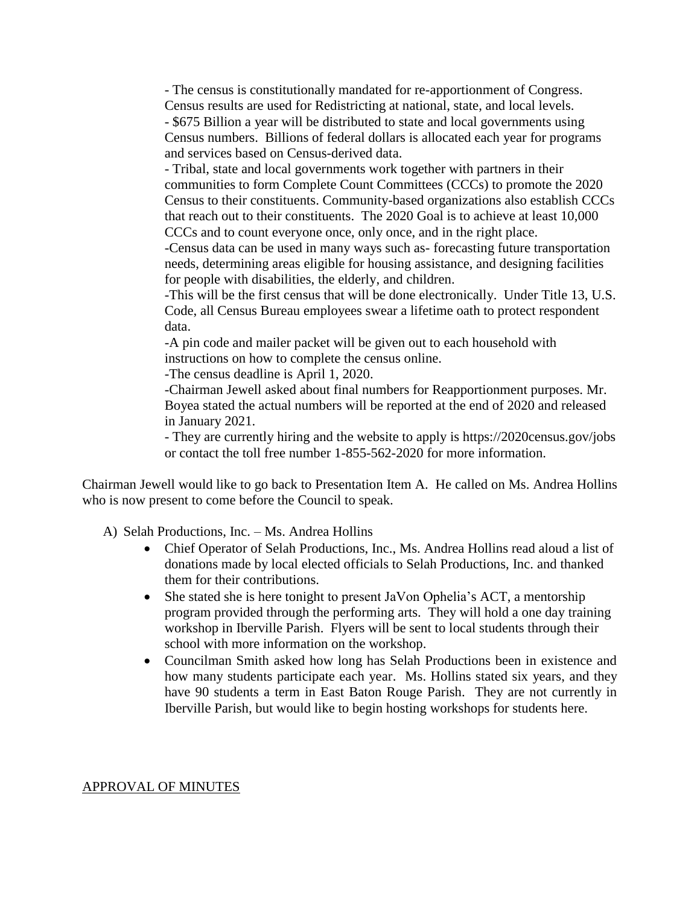- The census is constitutionally mandated for re-apportionment of Congress. Census results are used for Redistricting at national, state, and local levels. - \$675 Billion a year will be distributed to state and local governments using Census numbers. Billions of federal dollars is allocated each year for programs and services based on Census-derived data.

- Tribal, state and local governments work together with partners in their communities to form Complete Count Committees (CCCs) to promote the 2020 Census to their constituents. Community-based organizations also establish CCCs that reach out to their constituents. The 2020 Goal is to achieve at least 10,000 CCCs and to count everyone once, only once, and in the right place.

-Census data can be used in many ways such as- forecasting future transportation needs, determining areas eligible for housing assistance, and designing facilities for people with disabilities, the elderly, and children.

-This will be the first census that will be done electronically. Under Title 13, U.S. Code, all Census Bureau employees swear a lifetime oath to protect respondent data.

-A pin code and mailer packet will be given out to each household with instructions on how to complete the census online.

-The census deadline is April 1, 2020.

-Chairman Jewell asked about final numbers for Reapportionment purposes. Mr. Boyea stated the actual numbers will be reported at the end of 2020 and released in January 2021.

- They are currently hiring and the website to apply is https://2020census.gov/jobs or contact the toll free number 1-855-562-2020 for more information.

Chairman Jewell would like to go back to Presentation Item A. He called on Ms. Andrea Hollins who is now present to come before the Council to speak.

A) Selah Productions, Inc. – Ms. Andrea Hollins

- Chief Operator of Selah Productions, Inc., Ms. Andrea Hollins read aloud a list of donations made by local elected officials to Selah Productions, Inc. and thanked them for their contributions.
- She stated she is here tonight to present JaVon Ophelia's ACT, a mentorship program provided through the performing arts. They will hold a one day training workshop in Iberville Parish. Flyers will be sent to local students through their school with more information on the workshop.
- Councilman Smith asked how long has Selah Productions been in existence and how many students participate each year. Ms. Hollins stated six years, and they have 90 students a term in East Baton Rouge Parish. They are not currently in Iberville Parish, but would like to begin hosting workshops for students here.

# APPROVAL OF MINUTES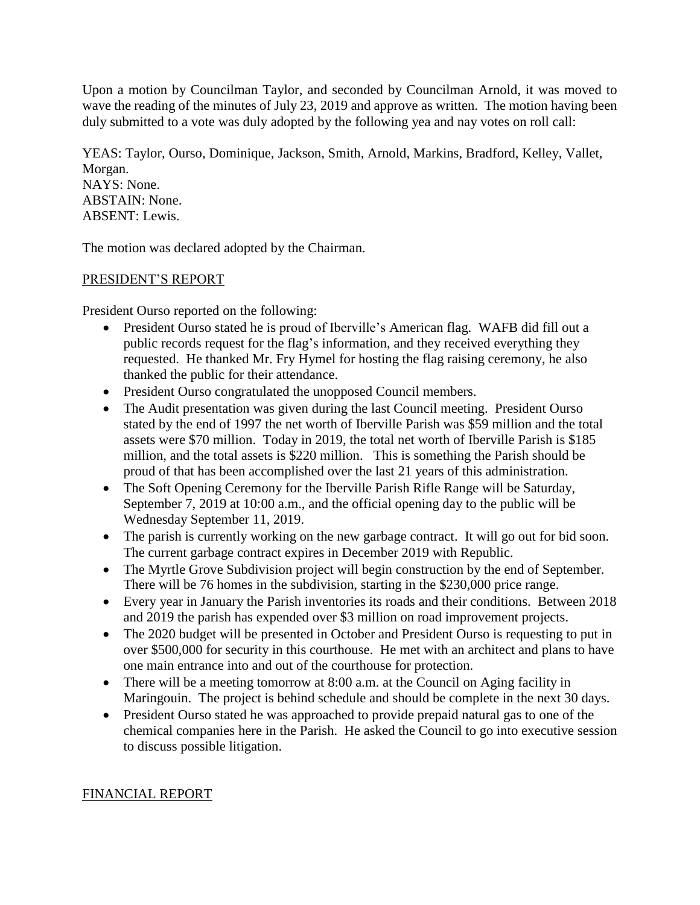Upon a motion by Councilman Taylor, and seconded by Councilman Arnold, it was moved to wave the reading of the minutes of July 23, 2019 and approve as written. The motion having been duly submitted to a vote was duly adopted by the following yea and nay votes on roll call:

YEAS: Taylor, Ourso, Dominique, Jackson, Smith, Arnold, Markins, Bradford, Kelley, Vallet, Morgan. NAYS: None. ABSTAIN: None. ABSENT: Lewis.

The motion was declared adopted by the Chairman.

# PRESIDENT'S REPORT

President Ourso reported on the following:

- President Ourso stated he is proud of Iberville's American flag. WAFB did fill out a public records request for the flag's information, and they received everything they requested. He thanked Mr. Fry Hymel for hosting the flag raising ceremony, he also thanked the public for their attendance.
- President Ourso congratulated the unopposed Council members.
- The Audit presentation was given during the last Council meeting. President Ourso stated by the end of 1997 the net worth of Iberville Parish was \$59 million and the total assets were \$70 million. Today in 2019, the total net worth of Iberville Parish is \$185 million, and the total assets is \$220 million. This is something the Parish should be proud of that has been accomplished over the last 21 years of this administration.
- The Soft Opening Ceremony for the Iberville Parish Rifle Range will be Saturday, September 7, 2019 at 10:00 a.m., and the official opening day to the public will be Wednesday September 11, 2019.
- The parish is currently working on the new garbage contract. It will go out for bid soon. The current garbage contract expires in December 2019 with Republic.
- The Myrtle Grove Subdivision project will begin construction by the end of September. There will be 76 homes in the subdivision, starting in the \$230,000 price range.
- Every year in January the Parish inventories its roads and their conditions. Between 2018 and 2019 the parish has expended over \$3 million on road improvement projects.
- The 2020 budget will be presented in October and President Ourso is requesting to put in over \$500,000 for security in this courthouse. He met with an architect and plans to have one main entrance into and out of the courthouse for protection.
- There will be a meeting tomorrow at 8:00 a.m. at the Council on Aging facility in Maringouin. The project is behind schedule and should be complete in the next 30 days.
- President Ourso stated he was approached to provide prepaid natural gas to one of the chemical companies here in the Parish. He asked the Council to go into executive session to discuss possible litigation.

# FINANCIAL REPORT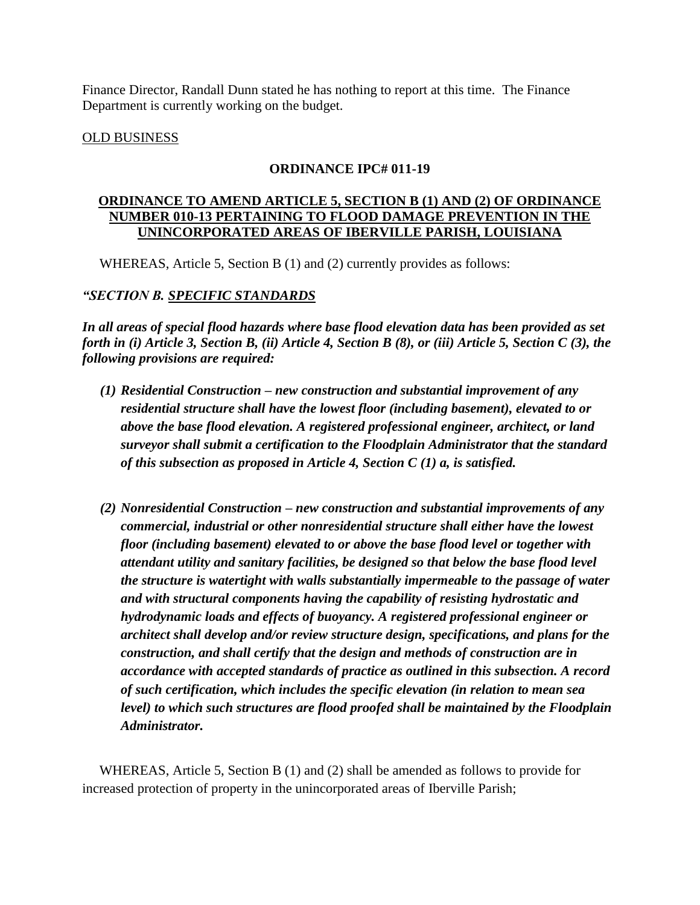Finance Director, Randall Dunn stated he has nothing to report at this time. The Finance Department is currently working on the budget.

## OLD BUSINESS

## **ORDINANCE IPC# 011-19**

## **ORDINANCE TO AMEND ARTICLE 5, SECTION B (1) AND (2) OF ORDINANCE NUMBER 010-13 PERTAINING TO FLOOD DAMAGE PREVENTION IN THE UNINCORPORATED AREAS OF IBERVILLE PARISH, LOUISIANA**

WHEREAS, Article 5, Section B (1) and (2) currently provides as follows:

# *"SECTION B. SPECIFIC STANDARDS*

*In all areas of special flood hazards where base flood elevation data has been provided as set forth in (i) Article 3, Section B, (ii) Article 4, Section B (8), or (iii) Article 5, Section C (3), the following provisions are required:*

- *(1) Residential Construction – new construction and substantial improvement of any residential structure shall have the lowest floor (including basement), elevated to or above the base flood elevation. A registered professional engineer, architect, or land surveyor shall submit a certification to the Floodplain Administrator that the standard of this subsection as proposed in Article 4, Section C (1) a, is satisfied.*
- *(2) Nonresidential Construction – new construction and substantial improvements of any commercial, industrial or other nonresidential structure shall either have the lowest floor (including basement) elevated to or above the base flood level or together with attendant utility and sanitary facilities, be designed so that below the base flood level the structure is watertight with walls substantially impermeable to the passage of water and with structural components having the capability of resisting hydrostatic and hydrodynamic loads and effects of buoyancy. A registered professional engineer or architect shall develop and/or review structure design, specifications, and plans for the construction, and shall certify that the design and methods of construction are in accordance with accepted standards of practice as outlined in this subsection. A record of such certification, which includes the specific elevation (in relation to mean sea level) to which such structures are flood proofed shall be maintained by the Floodplain Administrator.*

WHEREAS, Article 5, Section B (1) and (2) shall be amended as follows to provide for increased protection of property in the unincorporated areas of Iberville Parish;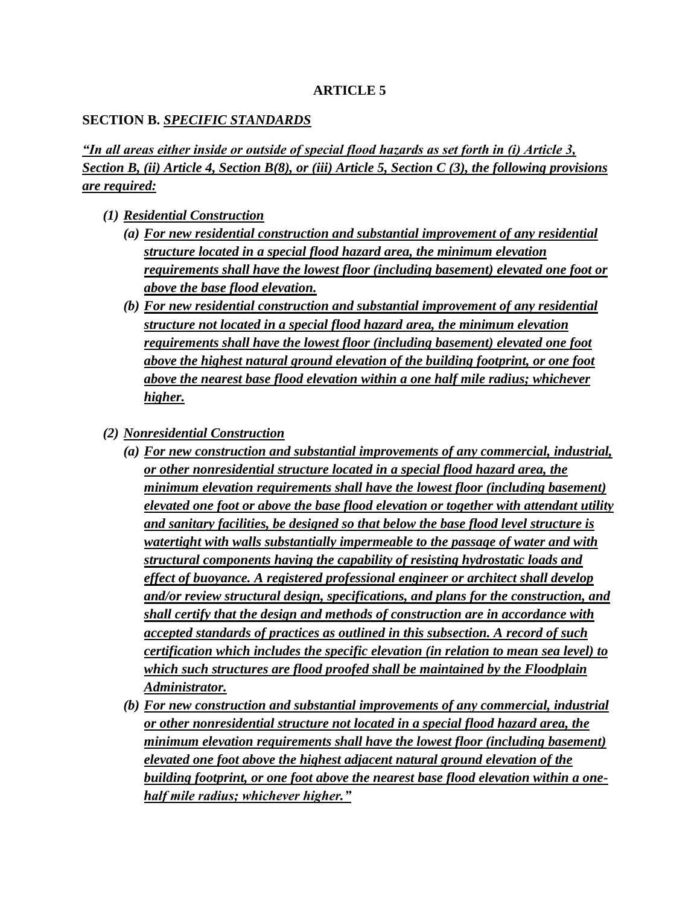## **ARTICLE 5**

## **SECTION B.** *SPECIFIC STANDARDS*

*"In all areas either inside or outside of special flood hazards as set forth in (i) Article 3, Section B, (ii) Article 4, Section B(8), or (iii) Article 5, Section C (3), the following provisions are required:*

- *(1) Residential Construction*
	- *(a) For new residential construction and substantial improvement of any residential structure located in a special flood hazard area, the minimum elevation requirements shall have the lowest floor (including basement) elevated one foot or above the base flood elevation.*
	- *(b) For new residential construction and substantial improvement of any residential structure not located in a special flood hazard area, the minimum elevation requirements shall have the lowest floor (including basement) elevated one foot above the highest natural ground elevation of the building footprint, or one foot above the nearest base flood elevation within a one half mile radius; whichever higher.*
- *(2) Nonresidential Construction*
	- *(a) For new construction and substantial improvements of any commercial, industrial, or other nonresidential structure located in a special flood hazard area, the minimum elevation requirements shall have the lowest floor (including basement) elevated one foot or above the base flood elevation or together with attendant utility and sanitary facilities, be designed so that below the base flood level structure is watertight with walls substantially impermeable to the passage of water and with structural components having the capability of resisting hydrostatic loads and effect of buoyance. A registered professional engineer or architect shall develop and/or review structural design, specifications, and plans for the construction, and shall certify that the design and methods of construction are in accordance with accepted standards of practices as outlined in this subsection. A record of such certification which includes the specific elevation (in relation to mean sea level) to which such structures are flood proofed shall be maintained by the Floodplain Administrator.*
	- *(b) For new construction and substantial improvements of any commercial, industrial or other nonresidential structure not located in a special flood hazard area, the minimum elevation requirements shall have the lowest floor (including basement) elevated one foot above the highest adjacent natural ground elevation of the building footprint, or one foot above the nearest base flood elevation within a onehalf mile radius; whichever higher."*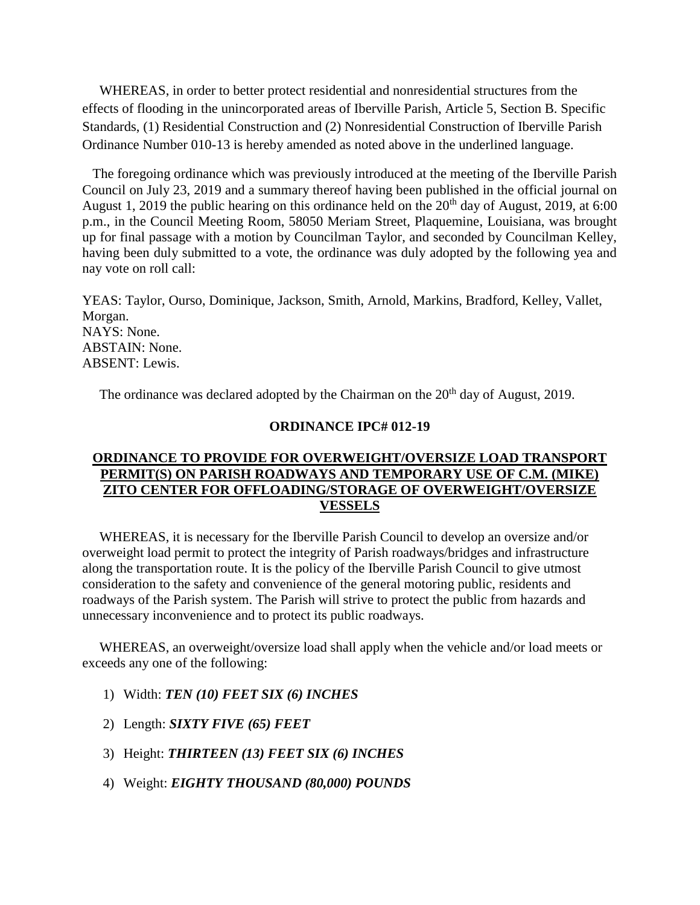WHEREAS, in order to better protect residential and nonresidential structures from the effects of flooding in the unincorporated areas of Iberville Parish, Article 5, Section B. Specific Standards, (1) Residential Construction and (2) Nonresidential Construction of Iberville Parish Ordinance Number 010-13 is hereby amended as noted above in the underlined language.

 The foregoing ordinance which was previously introduced at the meeting of the Iberville Parish Council on July 23, 2019 and a summary thereof having been published in the official journal on August 1, 2019 the public hearing on this ordinance held on the  $20<sup>th</sup>$  day of August, 2019, at 6:00 p.m., in the Council Meeting Room, 58050 Meriam Street, Plaquemine, Louisiana, was brought up for final passage with a motion by Councilman Taylor, and seconded by Councilman Kelley, having been duly submitted to a vote, the ordinance was duly adopted by the following yea and nay vote on roll call:

YEAS: Taylor, Ourso, Dominique, Jackson, Smith, Arnold, Markins, Bradford, Kelley, Vallet, Morgan. NAYS: None. ABSTAIN: None. ABSENT: Lewis.

The ordinance was declared adopted by the Chairman on the  $20<sup>th</sup>$  day of August, 2019.

#### **ORDINANCE IPC# 012-19**

## **ORDINANCE TO PROVIDE FOR OVERWEIGHT/OVERSIZE LOAD TRANSPORT PERMIT(S) ON PARISH ROADWAYS AND TEMPORARY USE OF C.M. (MIKE) ZITO CENTER FOR OFFLOADING/STORAGE OF OVERWEIGHT/OVERSIZE VESSELS**

 WHEREAS, it is necessary for the Iberville Parish Council to develop an oversize and/or overweight load permit to protect the integrity of Parish roadways/bridges and infrastructure along the transportation route. It is the policy of the Iberville Parish Council to give utmost consideration to the safety and convenience of the general motoring public, residents and roadways of the Parish system. The Parish will strive to protect the public from hazards and unnecessary inconvenience and to protect its public roadways.

 WHEREAS, an overweight/oversize load shall apply when the vehicle and/or load meets or exceeds any one of the following:

- 1) Width: *TEN (10) FEET SIX (6) INCHES*
- 2) Length: *SIXTY FIVE (65) FEET*
- 3) Height: *THIRTEEN (13) FEET SIX (6) INCHES*
- 4) Weight: *EIGHTY THOUSAND (80,000) POUNDS*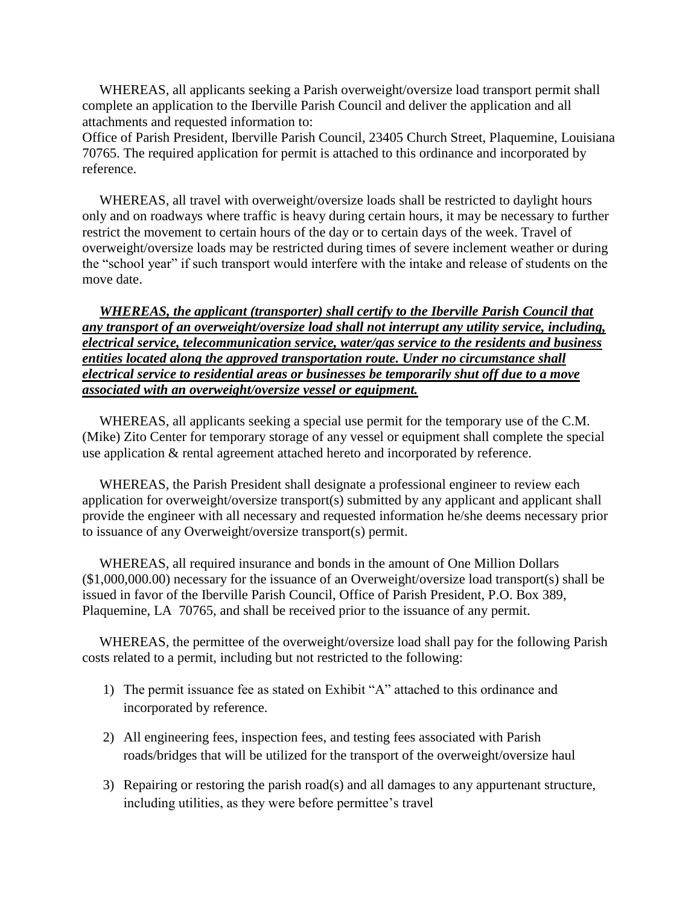WHEREAS, all applicants seeking a Parish overweight/oversize load transport permit shall complete an application to the Iberville Parish Council and deliver the application and all attachments and requested information to:

Office of Parish President, Iberville Parish Council, 23405 Church Street, Plaquemine, Louisiana 70765. The required application for permit is attached to this ordinance and incorporated by reference.

 WHEREAS, all travel with overweight/oversize loads shall be restricted to daylight hours only and on roadways where traffic is heavy during certain hours, it may be necessary to further restrict the movement to certain hours of the day or to certain days of the week. Travel of overweight/oversize loads may be restricted during times of severe inclement weather or during the "school year" if such transport would interfere with the intake and release of students on the move date.

 *WHEREAS, the applicant (transporter) shall certify to the Iberville Parish Council that any transport of an overweight/oversize load shall not interrupt any utility service, including, electrical service, telecommunication service, water/gas service to the residents and business entities located along the approved transportation route. Under no circumstance shall electrical service to residential areas or businesses be temporarily shut off due to a move associated with an overweight/oversize vessel or equipment.* 

 WHEREAS, all applicants seeking a special use permit for the temporary use of the C.M. (Mike) Zito Center for temporary storage of any vessel or equipment shall complete the special use application & rental agreement attached hereto and incorporated by reference.

 WHEREAS, the Parish President shall designate a professional engineer to review each application for overweight/oversize transport(s) submitted by any applicant and applicant shall provide the engineer with all necessary and requested information he/she deems necessary prior to issuance of any Overweight/oversize transport(s) permit.

 WHEREAS, all required insurance and bonds in the amount of One Million Dollars (\$1,000,000.00) necessary for the issuance of an Overweight/oversize load transport(s) shall be issued in favor of the Iberville Parish Council, Office of Parish President, P.O. Box 389, Plaquemine, LA 70765, and shall be received prior to the issuance of any permit.

WHEREAS, the permittee of the overweight/oversize load shall pay for the following Parish costs related to a permit, including but not restricted to the following:

- 1) The permit issuance fee as stated on Exhibit "A" attached to this ordinance and incorporated by reference.
- 2) All engineering fees, inspection fees, and testing fees associated with Parish roads/bridges that will be utilized for the transport of the overweight/oversize haul
- 3) Repairing or restoring the parish road(s) and all damages to any appurtenant structure, including utilities, as they were before permittee's travel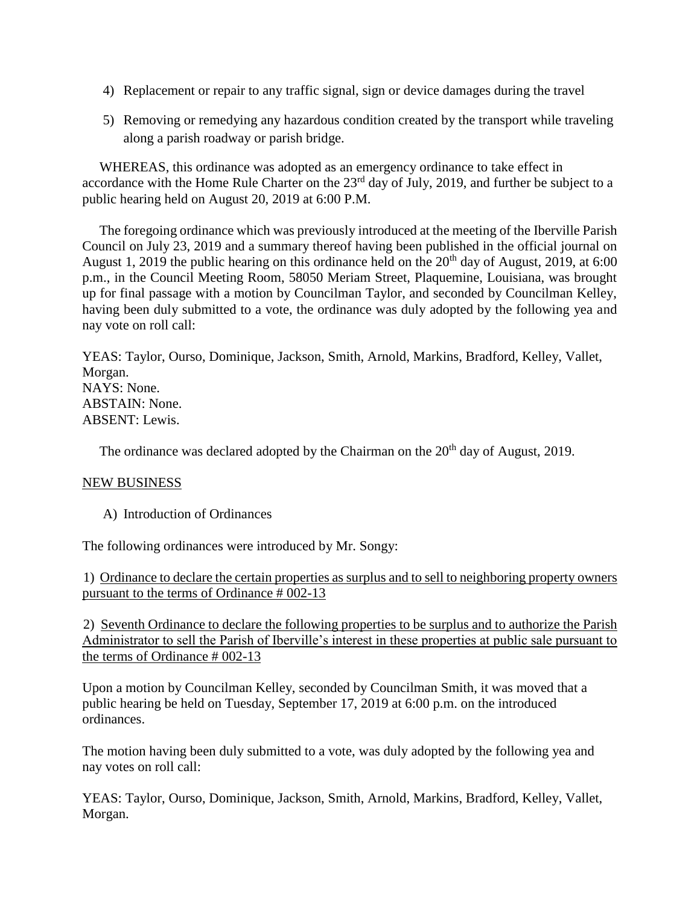- 4) Replacement or repair to any traffic signal, sign or device damages during the travel
- 5) Removing or remedying any hazardous condition created by the transport while traveling along a parish roadway or parish bridge.

 WHEREAS, this ordinance was adopted as an emergency ordinance to take effect in accordance with the Home Rule Charter on the 23<sup>rd</sup> day of July, 2019, and further be subject to a public hearing held on August 20, 2019 at 6:00 P.M.

 The foregoing ordinance which was previously introduced at the meeting of the Iberville Parish Council on July 23, 2019 and a summary thereof having been published in the official journal on August 1, 2019 the public hearing on this ordinance held on the  $20<sup>th</sup>$  day of August, 2019, at 6:00 p.m., in the Council Meeting Room, 58050 Meriam Street, Plaquemine, Louisiana, was brought up for final passage with a motion by Councilman Taylor, and seconded by Councilman Kelley, having been duly submitted to a vote, the ordinance was duly adopted by the following yea and nay vote on roll call:

YEAS: Taylor, Ourso, Dominique, Jackson, Smith, Arnold, Markins, Bradford, Kelley, Vallet, Morgan. NAYS: None. ABSTAIN: None. ABSENT: Lewis.

The ordinance was declared adopted by the Chairman on the  $20<sup>th</sup>$  day of August, 2019.

### NEW BUSINESS

A) Introduction of Ordinances

The following ordinances were introduced by Mr. Songy:

1) Ordinance to declare the certain properties as surplus and to sell to neighboring property owners pursuant to the terms of Ordinance # 002-13

2) Seventh Ordinance to declare the following properties to be surplus and to authorize the Parish Administrator to sell the Parish of Iberville's interest in these properties at public sale pursuant to the terms of Ordinance # 002-13

Upon a motion by Councilman Kelley, seconded by Councilman Smith, it was moved that a public hearing be held on Tuesday, September 17, 2019 at 6:00 p.m. on the introduced ordinances.

The motion having been duly submitted to a vote, was duly adopted by the following yea and nay votes on roll call:

YEAS: Taylor, Ourso, Dominique, Jackson, Smith, Arnold, Markins, Bradford, Kelley, Vallet, Morgan.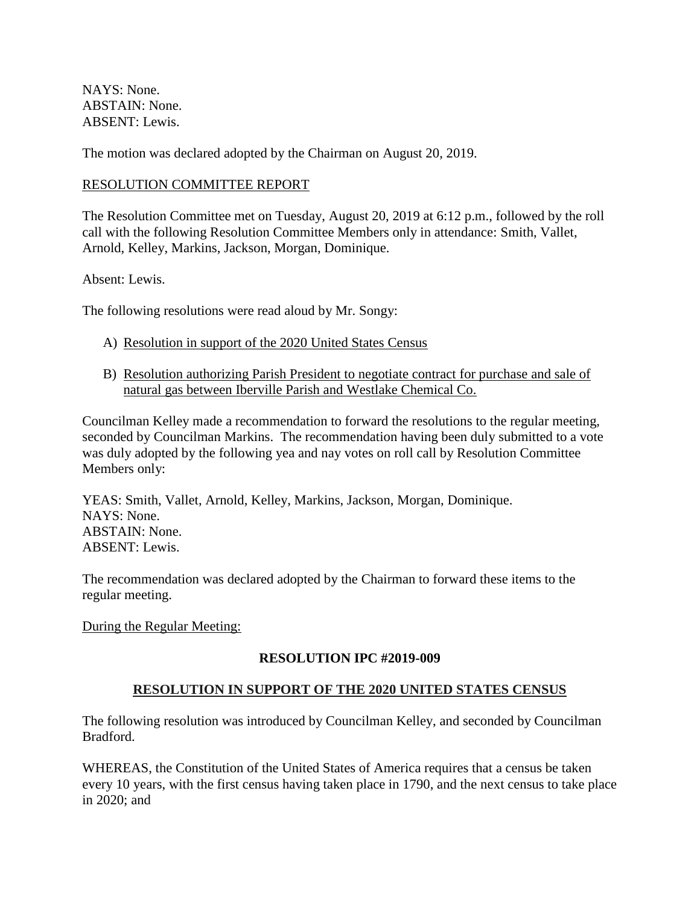NAYS: None. ABSTAIN: None. ABSENT: Lewis.

The motion was declared adopted by the Chairman on August 20, 2019.

## RESOLUTION COMMITTEE REPORT

The Resolution Committee met on Tuesday, August 20, 2019 at 6:12 p.m., followed by the roll call with the following Resolution Committee Members only in attendance: Smith, Vallet, Arnold, Kelley, Markins, Jackson, Morgan, Dominique.

Absent: Lewis.

The following resolutions were read aloud by Mr. Songy:

- A) Resolution in support of the 2020 United States Census
- B) Resolution authorizing Parish President to negotiate contract for purchase and sale of natural gas between Iberville Parish and Westlake Chemical Co.

Councilman Kelley made a recommendation to forward the resolutions to the regular meeting, seconded by Councilman Markins. The recommendation having been duly submitted to a vote was duly adopted by the following yea and nay votes on roll call by Resolution Committee Members only:

YEAS: Smith, Vallet, Arnold, Kelley, Markins, Jackson, Morgan, Dominique. NAYS: None. ABSTAIN: None. ABSENT: Lewis.

The recommendation was declared adopted by the Chairman to forward these items to the regular meeting.

During the Regular Meeting:

# **RESOLUTION IPC #2019-009**

# **RESOLUTION IN SUPPORT OF THE 2020 UNITED STATES CENSUS**

The following resolution was introduced by Councilman Kelley, and seconded by Councilman Bradford.

WHEREAS, the Constitution of the United States of America requires that a census be taken every 10 years, with the first census having taken place in 1790, and the next census to take place in 2020; and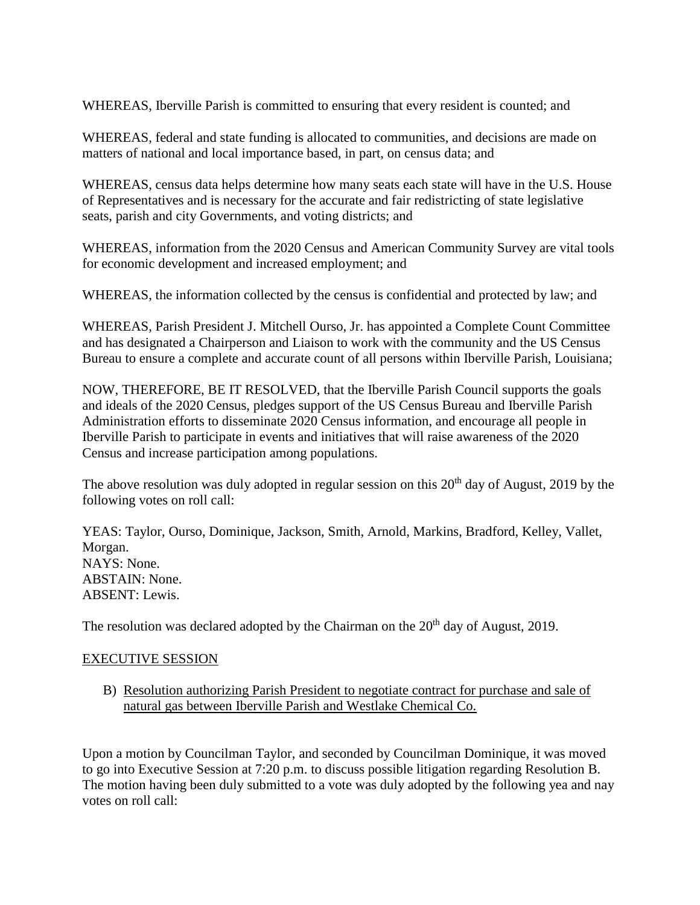WHEREAS, Iberville Parish is committed to ensuring that every resident is counted; and

WHEREAS, federal and state funding is allocated to communities, and decisions are made on matters of national and local importance based, in part, on census data; and

WHEREAS, census data helps determine how many seats each state will have in the U.S. House of Representatives and is necessary for the accurate and fair redistricting of state legislative seats, parish and city Governments, and voting districts; and

WHEREAS, information from the 2020 Census and American Community Survey are vital tools for economic development and increased employment; and

WHEREAS, the information collected by the census is confidential and protected by law; and

WHEREAS, Parish President J. Mitchell Ourso, Jr. has appointed a Complete Count Committee and has designated a Chairperson and Liaison to work with the community and the US Census Bureau to ensure a complete and accurate count of all persons within Iberville Parish, Louisiana;

NOW, THEREFORE, BE IT RESOLVED, that the Iberville Parish Council supports the goals and ideals of the 2020 Census, pledges support of the US Census Bureau and Iberville Parish Administration efforts to disseminate 2020 Census information, and encourage all people in Iberville Parish to participate in events and initiatives that will raise awareness of the 2020 Census and increase participation among populations.

The above resolution was duly adopted in regular session on this  $20<sup>th</sup>$  day of August, 2019 by the following votes on roll call:

YEAS: Taylor, Ourso, Dominique, Jackson, Smith, Arnold, Markins, Bradford, Kelley, Vallet, Morgan. NAYS: None. ABSTAIN: None. ABSENT: Lewis.

The resolution was declared adopted by the Chairman on the  $20<sup>th</sup>$  day of August, 2019.

### EXECUTIVE SESSION

B) Resolution authorizing Parish President to negotiate contract for purchase and sale of natural gas between Iberville Parish and Westlake Chemical Co.

Upon a motion by Councilman Taylor, and seconded by Councilman Dominique, it was moved to go into Executive Session at 7:20 p.m. to discuss possible litigation regarding Resolution B. The motion having been duly submitted to a vote was duly adopted by the following yea and nay votes on roll call: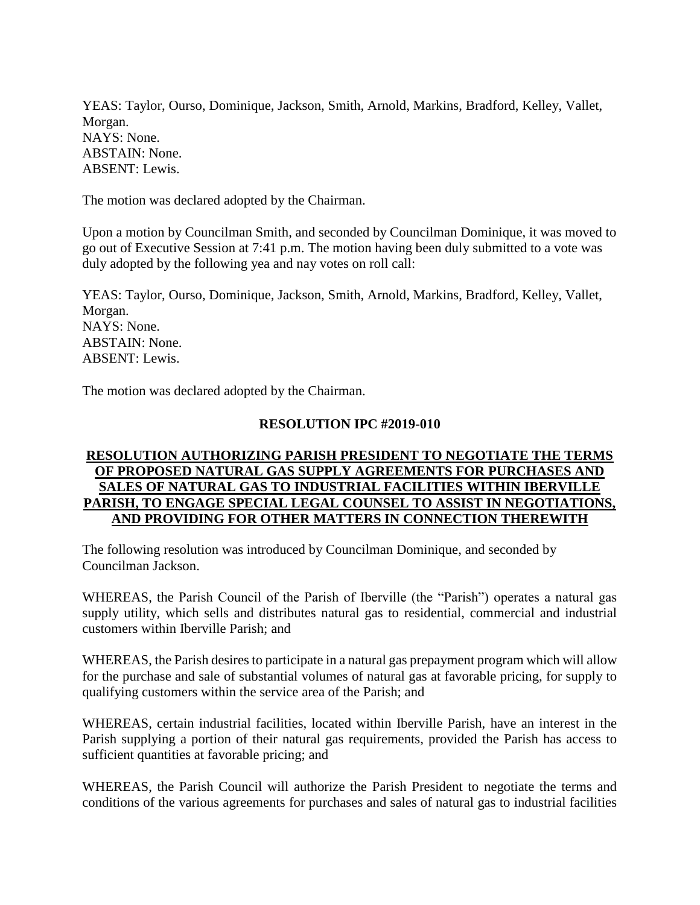YEAS: Taylor, Ourso, Dominique, Jackson, Smith, Arnold, Markins, Bradford, Kelley, Vallet, Morgan. NAYS: None. ABSTAIN: None. ABSENT: Lewis.

The motion was declared adopted by the Chairman.

Upon a motion by Councilman Smith, and seconded by Councilman Dominique, it was moved to go out of Executive Session at 7:41 p.m. The motion having been duly submitted to a vote was duly adopted by the following yea and nay votes on roll call:

YEAS: Taylor, Ourso, Dominique, Jackson, Smith, Arnold, Markins, Bradford, Kelley, Vallet, Morgan. NAYS: None. ABSTAIN: None. ABSENT: Lewis.

The motion was declared adopted by the Chairman.

### **RESOLUTION IPC #2019-010**

## **RESOLUTION AUTHORIZING PARISH PRESIDENT TO NEGOTIATE THE TERMS OF PROPOSED NATURAL GAS SUPPLY AGREEMENTS FOR PURCHASES AND SALES OF NATURAL GAS TO INDUSTRIAL FACILITIES WITHIN IBERVILLE PARISH, TO ENGAGE SPECIAL LEGAL COUNSEL TO ASSIST IN NEGOTIATIONS, AND PROVIDING FOR OTHER MATTERS IN CONNECTION THEREWITH**

The following resolution was introduced by Councilman Dominique, and seconded by Councilman Jackson.

WHEREAS, the Parish Council of the Parish of Iberville (the "Parish") operates a natural gas supply utility, which sells and distributes natural gas to residential, commercial and industrial customers within Iberville Parish; and

WHEREAS, the Parish desires to participate in a natural gas prepayment program which will allow for the purchase and sale of substantial volumes of natural gas at favorable pricing, for supply to qualifying customers within the service area of the Parish; and

WHEREAS, certain industrial facilities, located within Iberville Parish, have an interest in the Parish supplying a portion of their natural gas requirements, provided the Parish has access to sufficient quantities at favorable pricing; and

WHEREAS, the Parish Council will authorize the Parish President to negotiate the terms and conditions of the various agreements for purchases and sales of natural gas to industrial facilities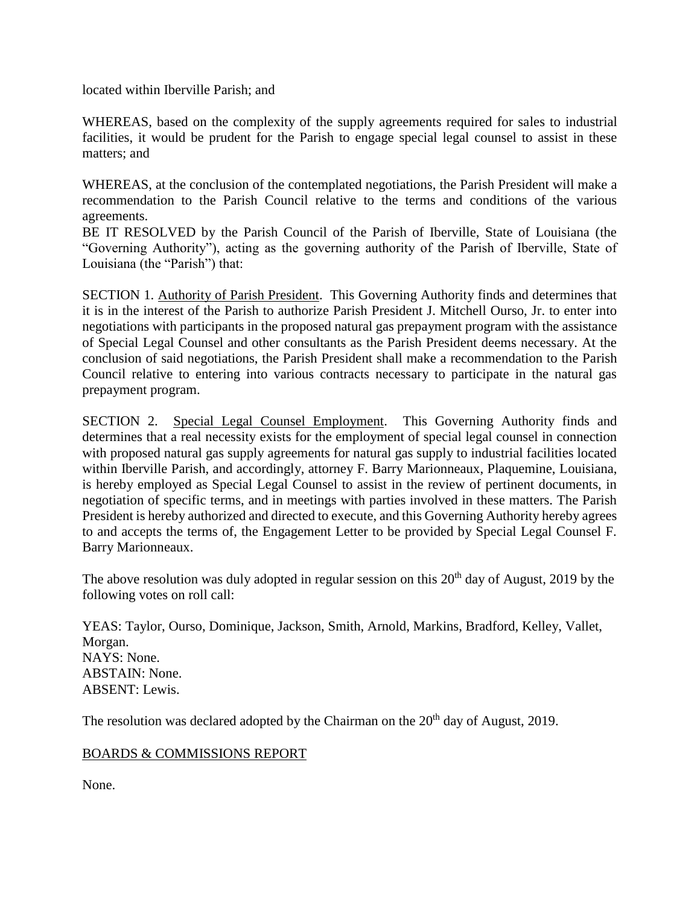located within Iberville Parish; and

WHEREAS, based on the complexity of the supply agreements required for sales to industrial facilities, it would be prudent for the Parish to engage special legal counsel to assist in these matters; and

WHEREAS, at the conclusion of the contemplated negotiations, the Parish President will make a recommendation to the Parish Council relative to the terms and conditions of the various agreements.

BE IT RESOLVED by the Parish Council of the Parish of Iberville, State of Louisiana (the "Governing Authority"), acting as the governing authority of the Parish of Iberville, State of Louisiana (the "Parish") that:

SECTION 1. Authority of Parish President. This Governing Authority finds and determines that it is in the interest of the Parish to authorize Parish President J. Mitchell Ourso, Jr. to enter into negotiations with participants in the proposed natural gas prepayment program with the assistance of Special Legal Counsel and other consultants as the Parish President deems necessary. At the conclusion of said negotiations, the Parish President shall make a recommendation to the Parish Council relative to entering into various contracts necessary to participate in the natural gas prepayment program.

SECTION 2. Special Legal Counsel Employment. This Governing Authority finds and determines that a real necessity exists for the employment of special legal counsel in connection with proposed natural gas supply agreements for natural gas supply to industrial facilities located within Iberville Parish, and accordingly, attorney F. Barry Marionneaux, Plaquemine, Louisiana, is hereby employed as Special Legal Counsel to assist in the review of pertinent documents, in negotiation of specific terms, and in meetings with parties involved in these matters. The Parish President is hereby authorized and directed to execute, and this Governing Authority hereby agrees to and accepts the terms of, the Engagement Letter to be provided by Special Legal Counsel F. Barry Marionneaux.

The above resolution was duly adopted in regular session on this  $20<sup>th</sup>$  day of August, 2019 by the following votes on roll call:

YEAS: Taylor, Ourso, Dominique, Jackson, Smith, Arnold, Markins, Bradford, Kelley, Vallet, Morgan. NAYS: None. ABSTAIN: None. ABSENT: Lewis.

The resolution was declared adopted by the Chairman on the  $20<sup>th</sup>$  day of August, 2019.

### BOARDS & COMMISSIONS REPORT

None.